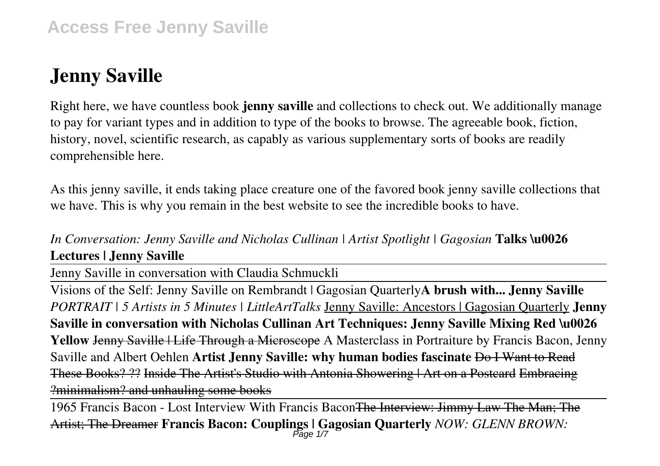# **Jenny Saville**

Right here, we have countless book **jenny saville** and collections to check out. We additionally manage to pay for variant types and in addition to type of the books to browse. The agreeable book, fiction, history, novel, scientific research, as capably as various supplementary sorts of books are readily comprehensible here.

As this jenny saville, it ends taking place creature one of the favored book jenny saville collections that we have. This is why you remain in the best website to see the incredible books to have.

*In Conversation: Jenny Saville and Nicholas Cullinan | Artist Spotlight | Gagosian* **Talks \u0026 Lectures | Jenny Saville**

Jenny Saville in conversation with Claudia Schmuckli

Visions of the Self: Jenny Saville on Rembrandt | Gagosian Quarterly**A brush with... Jenny Saville** *PORTRAIT | 5 Artists in 5 Minutes | LittleArtTalks* Jenny Saville: Ancestors | Gagosian Quarterly **Jenny Saville in conversation with Nicholas Cullinan Art Techniques: Jenny Saville Mixing Red \u0026** Yellow Jenny Saville | Life Through a Microscope A Masterclass in Portraiture by Francis Bacon, Jenny Saville and Albert Oehlen **Artist Jenny Saville: why human bodies fascinate** Do I Want to Read These Books? ?? Inside The Artist's Studio with Antonia Showering | Art on a Postcard Embracing ?minimalism? and unhauling some books

1965 Francis Bacon - Lost Interview With Francis Bacon The Interview: Jimmy Law The Man; The Artist; The Dreamer **Francis Bacon: Couplings | Gagosian Quarterly** *NOW: GLENN BROWN:* Page 1/7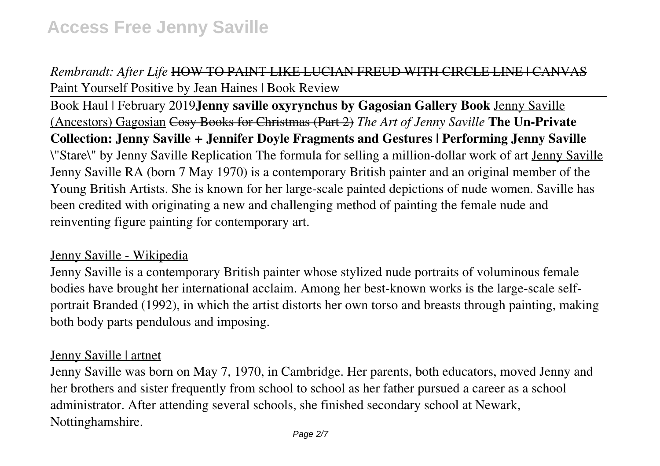# *Rembrandt: After Life* HOW TO PAINT LIKE LUCIAN FREUD WITH CIRCLE LINE | CANVAS Paint Yourself Positive by Jean Haines | Book Review

Book Haul | February 2019**Jenny saville oxyrynchus by Gagosian Gallery Book** Jenny Saville (Ancestors) Gagosian Cosy Books for Christmas (Part 2) *The Art of Jenny Saville* **The Un-Private Collection: Jenny Saville + Jennifer Doyle Fragments and Gestures | Performing Jenny Saville** \"Stare\" by Jenny Saville Replication The formula for selling a million-dollar work of art Jenny Saville Jenny Saville RA (born 7 May 1970) is a contemporary British painter and an original member of the Young British Artists. She is known for her large-scale painted depictions of nude women. Saville has been credited with originating a new and challenging method of painting the female nude and reinventing figure painting for contemporary art.

#### Jenny Saville - Wikipedia

Jenny Saville is a contemporary British painter whose stylized nude portraits of voluminous female bodies have brought her international acclaim. Among her best-known works is the large-scale selfportrait Branded (1992), in which the artist distorts her own torso and breasts through painting, making both body parts pendulous and imposing.

#### Jenny Saville | artnet

Jenny Saville was born on May 7, 1970, in Cambridge. Her parents, both educators, moved Jenny and her brothers and sister frequently from school to school as her father pursued a career as a school administrator. After attending several schools, she finished secondary school at Newark, Nottinghamshire.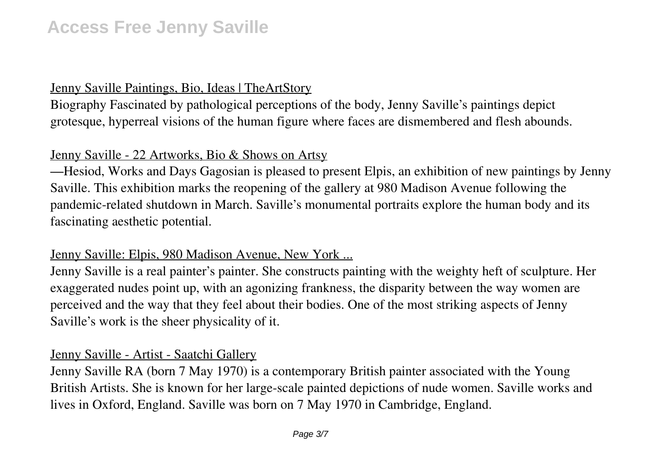# Jenny Saville Paintings, Bio, Ideas | TheArtStory

Biography Fascinated by pathological perceptions of the body, Jenny Saville's paintings depict grotesque, hyperreal visions of the human figure where faces are dismembered and flesh abounds.

# Jenny Saville - 22 Artworks, Bio & Shows on Artsy

—Hesiod, Works and Days Gagosian is pleased to present Elpis, an exhibition of new paintings by Jenny Saville. This exhibition marks the reopening of the gallery at 980 Madison Avenue following the pandemic-related shutdown in March. Saville's monumental portraits explore the human body and its fascinating aesthetic potential.

#### Jenny Saville: Elpis, 980 Madison Avenue, New York ...

Jenny Saville is a real painter's painter. She constructs painting with the weighty heft of sculpture. Her exaggerated nudes point up, with an agonizing frankness, the disparity between the way women are perceived and the way that they feel about their bodies. One of the most striking aspects of Jenny Saville's work is the sheer physicality of it.

#### Jenny Saville - Artist - Saatchi Gallery

Jenny Saville RA (born 7 May 1970) is a contemporary British painter associated with the Young British Artists. She is known for her large-scale painted depictions of nude women. Saville works and lives in Oxford, England. Saville was born on 7 May 1970 in Cambridge, England.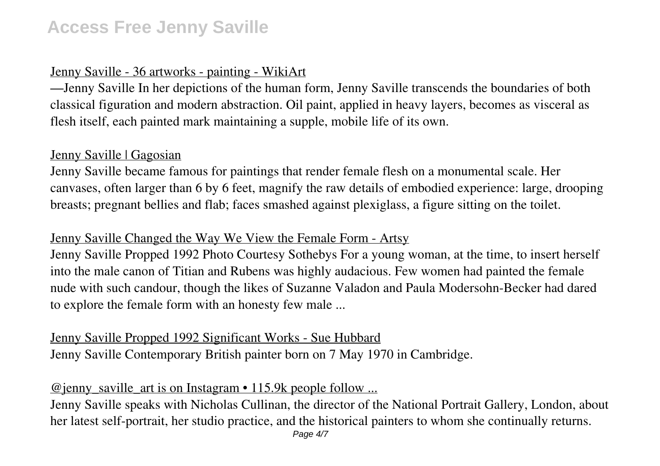# **Access Free Jenny Saville**

# Jenny Saville - 36 artworks - painting - WikiArt

—Jenny Saville In her depictions of the human form, Jenny Saville transcends the boundaries of both classical figuration and modern abstraction. Oil paint, applied in heavy layers, becomes as visceral as flesh itself, each painted mark maintaining a supple, mobile life of its own.

#### Jenny Saville | Gagosian

Jenny Saville became famous for paintings that render female flesh on a monumental scale. Her canvases, often larger than 6 by 6 feet, magnify the raw details of embodied experience: large, drooping breasts; pregnant bellies and flab; faces smashed against plexiglass, a figure sitting on the toilet.

# Jenny Saville Changed the Way We View the Female Form - Artsy

Jenny Saville Propped 1992 Photo Courtesy Sothebys For a young woman, at the time, to insert herself into the male canon of Titian and Rubens was highly audacious. Few women had painted the female nude with such candour, though the likes of Suzanne Valadon and Paula Modersohn-Becker had dared to explore the female form with an honesty few male ...

# Jenny Saville Propped 1992 Significant Works - Sue Hubbard

Jenny Saville Contemporary British painter born on 7 May 1970 in Cambridge.

# @jenny\_saville\_art is on Instagram • 115.9k people follow ...

Jenny Saville speaks with Nicholas Cullinan, the director of the National Portrait Gallery, London, about her latest self-portrait, her studio practice, and the historical painters to whom she continually returns.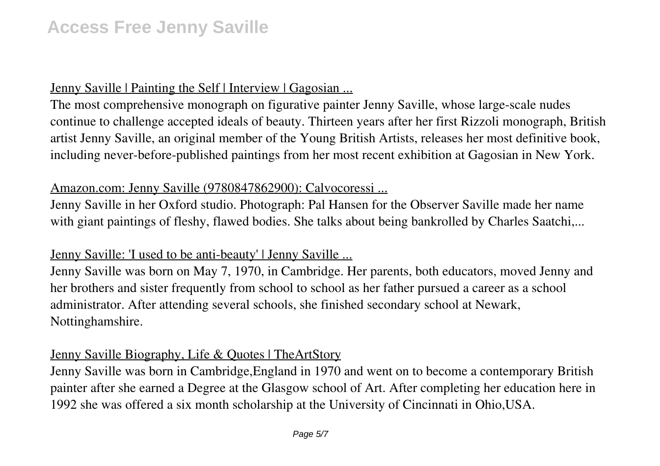# **Access Free Jenny Saville**

#### Jenny Saville | Painting the Self | Interview | Gagosian ...

The most comprehensive monograph on figurative painter Jenny Saville, whose large-scale nudes continue to challenge accepted ideals of beauty. Thirteen years after her first Rizzoli monograph, British artist Jenny Saville, an original member of the Young British Artists, releases her most definitive book, including never-before-published paintings from her most recent exhibition at Gagosian in New York.

#### Amazon.com: Jenny Saville (9780847862900): Calvocoressi ...

Jenny Saville in her Oxford studio. Photograph: Pal Hansen for the Observer Saville made her name with giant paintings of fleshy, flawed bodies. She talks about being bankrolled by Charles Saatchi,...

#### Jenny Saville: 'I used to be anti-beauty' | Jenny Saville ...

Jenny Saville was born on May 7, 1970, in Cambridge. Her parents, both educators, moved Jenny and her brothers and sister frequently from school to school as her father pursued a career as a school administrator. After attending several schools, she finished secondary school at Newark, Nottinghamshire.

#### Jenny Saville Biography, Life & Quotes | TheArtStory

Jenny Saville was born in Cambridge,England in 1970 and went on to become a contemporary British painter after she earned a Degree at the Glasgow school of Art. After completing her education here in 1992 she was offered a six month scholarship at the University of Cincinnati in Ohio,USA.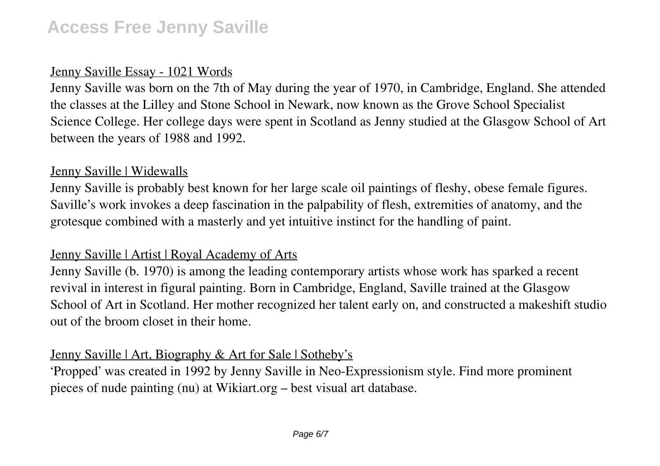# Jenny Saville Essay - 1021 Words

Jenny Saville was born on the 7th of May during the year of 1970, in Cambridge, England. She attended the classes at the Lilley and Stone School in Newark, now known as the Grove School Specialist Science College. Her college days were spent in Scotland as Jenny studied at the Glasgow School of Art between the years of 1988 and 1992.

#### Jenny Saville | Widewalls

Jenny Saville is probably best known for her large scale oil paintings of fleshy, obese female figures. Saville's work invokes a deep fascination in the palpability of flesh, extremities of anatomy, and the grotesque combined with a masterly and yet intuitive instinct for the handling of paint.

# Jenny Saville | Artist | Royal Academy of Arts

Jenny Saville (b. 1970) is among the leading contemporary artists whose work has sparked a recent revival in interest in figural painting. Born in Cambridge, England, Saville trained at the Glasgow School of Art in Scotland. Her mother recognized her talent early on, and constructed a makeshift studio out of the broom closet in their home.

# Jenny Saville | Art, Biography & Art for Sale | Sotheby's

'Propped' was created in 1992 by Jenny Saville in Neo-Expressionism style. Find more prominent pieces of nude painting (nu) at Wikiart.org – best visual art database.